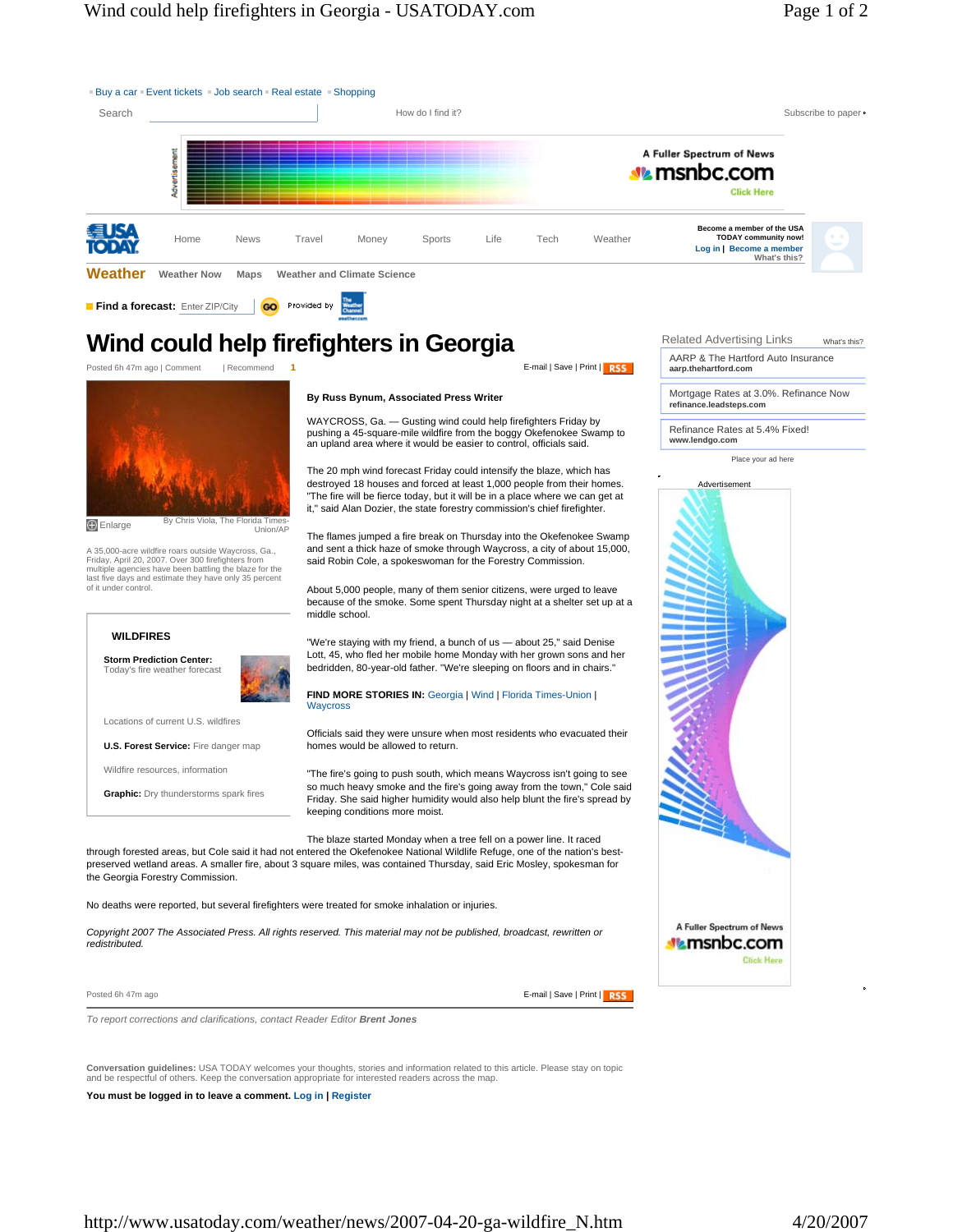